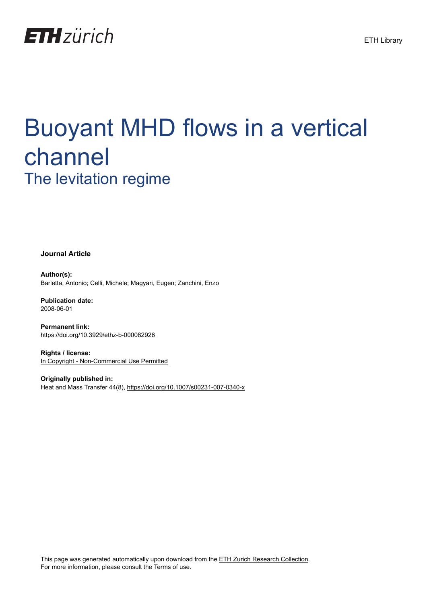

# Buoyant MHD flows in a vertical channel The levitation regime

**Journal Article**

**Author(s):** Barletta, Antonio; Celli, Michele; Magyari, Eugen; Zanchini, Enzo

**Publication date:** 2008-06-01

**Permanent link:** <https://doi.org/10.3929/ethz-b-000082926>

**Rights / license:** [In Copyright - Non-Commercial Use Permitted](http://rightsstatements.org/page/InC-NC/1.0/)

**Originally published in:** Heat and Mass Transfer 44(8),<https://doi.org/10.1007/s00231-007-0340-x>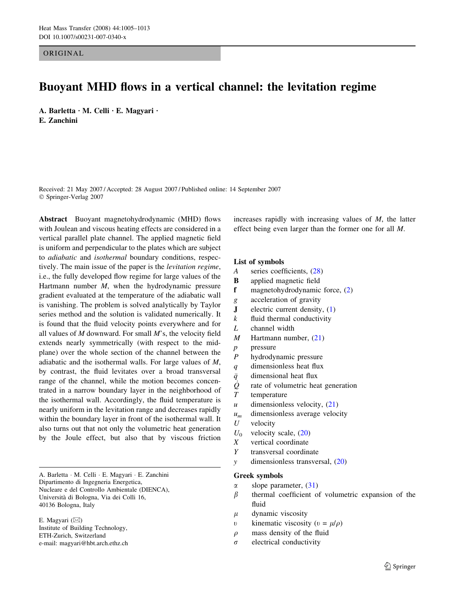ORIGINAL

# Buoyant MHD flows in a vertical channel: the levitation regime

A. Barletta  $\cdot$  M. Celli  $\cdot$  E. Magyari  $\cdot$ E. Zanchini

Received: 21 May 2007 / Accepted: 28 August 2007 / Published online: 14 September 2007 Springer-Verlag 2007

Abstract Buoyant magnetohydrodynamic (MHD) flows with Joulean and viscous heating effects are considered in a vertical parallel plate channel. The applied magnetic field is uniform and perpendicular to the plates which are subject to adiabatic and isothermal boundary conditions, respectively. The main issue of the paper is the levitation regime, i.e., the fully developed flow regime for large values of the Hartmann number  $M$ , when the hydrodynamic pressure gradient evaluated at the temperature of the adiabatic wall is vanishing. The problem is solved analytically by Taylor series method and the solution is validated numerically. It is found that the fluid velocity points everywhere and for all values of  $M$  downward. For small  $M$ 's, the velocity field extends nearly symmetrically (with respect to the midplane) over the whole section of the channel between the adiabatic and the isothermal walls. For large values of M, by contrast, the fluid levitates over a broad transversal range of the channel, while the motion becomes concentrated in a narrow boundary layer in the neighborhood of the isothermal wall. Accordingly, the fluid temperature is nearly uniform in the levitation range and decreases rapidly within the boundary layer in front of the isothermal wall. It also turns out that not only the volumetric heat generation by the Joule effect, but also that by viscous friction

A. Barletta · M. Celli · E. Magyari · E. Zanchini Dipartimento di Ingegneria Energetica, Nucleare e del Controllo Ambientale (DIENCA), Universita` di Bologna, Via dei Colli 16, 40136 Bologna, Italy

E. Magyari  $(\boxtimes)$ Institute of Building Technology, ETH-Zurich, Switzerland e-mail: magyari@hbt.arch.ethz.ch increases rapidly with increasing values of M, the latter effect being even larger than the former one for all M.

# List of symbols

- A series coefficients, (28)
- B applied magnetic field
- f magnetohydrodynamic force, (2)
- g acceleration of gravity
- J electric current density, (1)
- $k$  fluid thermal conductivity
- L channel width
- M Hartmann number, (21)
- p pressure
- P hydrodynamic pressure
- q dimensionless heat flux
- $\bar{q}$  dimensional heat flux
- $\dot{\mathcal{Q}}$  rate of volumetric heat generation
- T temperature
- $u$  dimensionless velocity,  $(21)$
- $u_m$  dimensionless average velocity
- $U$  velocity
- $U_0$  velocity scale, (20)
- X vertical coordinate
- Y transversal coordinate
- y dimensionless transversal, (20)

#### Greek symbols

- $\alpha$  slope parameter, (31)
- $\beta$  thermal coefficient of volumetric expansion of the fluid
- $\mu$  dynamic viscosity
- v kinematic viscosity ( $v = \mu/\rho$ )
- $\rho$  mass density of the fluid
- $\sigma$  electrical conductivity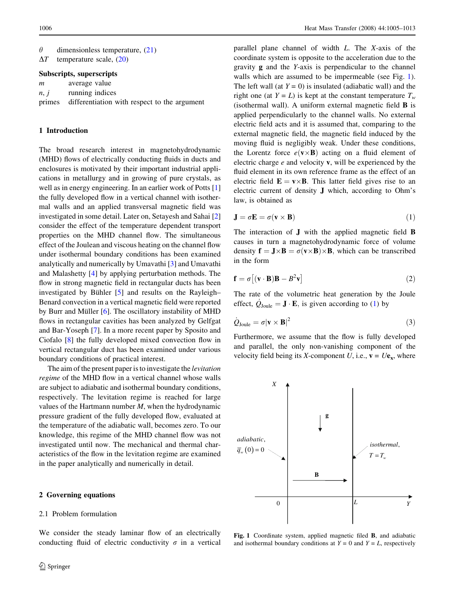| $\theta$ | dimensionless temperature, $(21)$    |  |
|----------|--------------------------------------|--|
|          | $\Lambda T$ tamparatura soala $(20)$ |  |

 $\Delta T$  temperature scale, (20)

# Subscripts, superscripts

| m    | average value                                       |
|------|-----------------------------------------------------|
| n, j | running indices                                     |
|      | primes differentiation with respect to the argument |

## 1 Introduction

The broad research interest in magnetohydrodynamic (MHD) flows of electrically conducting fluids in ducts and enclosures is motivated by their important industrial applications in metallurgy and in growing of pure crystals, as well as in energy engineering. In an earlier work of Potts [[1\]](#page-9-0) the fully developed flow in a vertical channel with isothermal walls and an applied transversal magnetic field was investigated in some detail. Later on, Setayesh and Sahai [[2\]](#page-9-0) consider the effect of the temperature dependent transport properties on the MHD channel flow. The simultaneous effect of the Joulean and viscous heating on the channel flow under isothermal boundary conditions has been examined analytically and numerically by Umavathi [[3\]](#page-9-0) and Umavathi and Malashetty [\[4](#page-9-0)] by applying perturbation methods. The flow in strong magnetic field in rectangular ducts has been investigated by Bühler  $[5]$  $[5]$  and results on the Rayleigh– Benard convection in a vertical magnetic field were reported by Burr and Müller  $[6]$  $[6]$ . The oscillatory instability of MHD flows in rectangular cavities has been analyzed by Gelfgat and Bar-Yoseph [\[7](#page-9-0)]. In a more recent paper by Sposito and Ciofalo [\[8](#page-9-0)] the fully developed mixed convection flow in vertical rectangular duct has been examined under various boundary conditions of practical interest.

The aim of the present paper is to investigate the *levitation* regime of the MHD flow in a vertical channel whose walls are subject to adiabatic and isothermal boundary conditions, respectively. The levitation regime is reached for large values of the Hartmann number  $M$ , when the hydrodynamic pressure gradient of the fully developed flow, evaluated at the temperature of the adiabatic wall, becomes zero. To our knowledge, this regime of the MHD channel flow was not investigated until now. The mechanical and thermal characteristics of the flow in the levitation regime are examined in the paper analytically and numerically in detail.

# 2 Governing equations

#### 2.1 Problem formulation

We consider the steady laminar flow of an electrically conducting fluid of electric conductivity  $\sigma$  in a vertical parallel plane channel of width L. The X-axis of the coordinate system is opposite to the acceleration due to the gravity g and the Y-axis is perpendicular to the channel walls which are assumed to be impermeable (see Fig. 1). The left wall (at  $Y = 0$ ) is insulated (adiabatic wall) and the right one (at  $Y = L$ ) is kept at the constant temperature  $T_w$ (isothermal wall). A uniform external magnetic field B is applied perpendicularly to the channel walls. No external electric field acts and it is assumed that, comparing to the external magnetic field, the magnetic field induced by the moving fluid is negligibly weak. Under these conditions, the Lorentz force  $e(\mathbf{v} \times \mathbf{B})$  acting on a fluid element of electric charge  $e$  and velocity  $v$ , will be experienced by the fluid element in its own reference frame as the effect of an electric field  $\mathbf{E} = \mathbf{v} \times \mathbf{B}$ . This latter field gives rise to an electric current of density J which, according to Ohm's law, is obtained as

$$
\mathbf{J} = \sigma \mathbf{E} = \sigma(\mathbf{v} \times \mathbf{B}) \tag{1}
$$

The interaction of J with the applied magnetic field B causes in turn a magnetohydrodynamic force of volume density  $\mathbf{f} = \mathbf{J} \times \mathbf{B} = \sigma(\mathbf{v} \times \mathbf{B}) \times \mathbf{B}$ , which can be transcribed in the form

$$
\mathbf{f} = \sigma [(\mathbf{v} \cdot \mathbf{B})\mathbf{B} - B^2 \mathbf{v}] \tag{2}
$$

The rate of the volumetric heat generation by the Joule effect,  $\dot{Q}_{\text{Joule}} = \mathbf{J} \cdot \mathbf{E}$ , is given according to (1) by

$$
\dot{Q}_{\text{Joule}} = \sigma |\mathbf{v} \times \mathbf{B}|^2 \tag{3}
$$

Furthermore, we assume that the flow is fully developed and parallel, the only non-vanishing component of the velocity field being its X-component U, i.e.,  $\mathbf{v} = U\mathbf{e}_\mathbf{x}$ , where



Fig. 1 Coordinate system, applied magnetic filed B, and adiabatic and isothermal boundary conditions at  $Y = 0$  and  $Y = L$ , respectively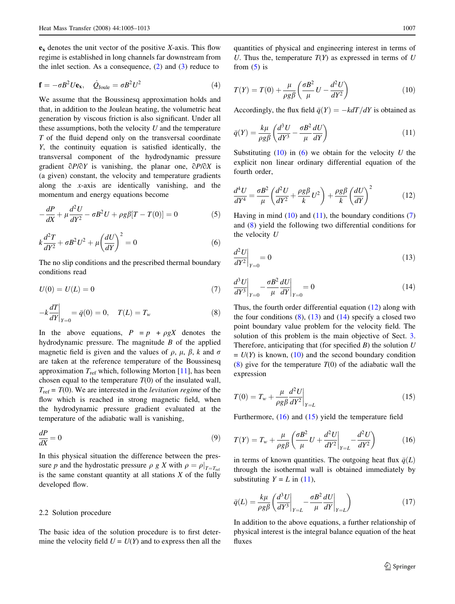$e_x$  denotes the unit vector of the positive X-axis. This flow regime is established in long channels far downstream from the inlet section. As a consequence,  $(2)$  and  $(3)$  reduce to

$$
\mathbf{f} = -\sigma B^2 U \mathbf{e}_{\mathbf{x}}, \quad \dot{Q}_{\text{Joule}} = \sigma B^2 U^2 \tag{4}
$$

We assume that the Boussinesq approximation holds and that, in addition to the Joulean heating, the volumetric heat generation by viscous friction is also significant. Under all these assumptions, both the velocity  $U$  and the temperature  $T$  of the fluid depend only on the transversal coordinate Y, the continuity equation is satisfied identically, the transversal component of the hydrodynamic pressure gradient  $\partial P/\partial Y$  is vanishing, the planar one,  $\partial P/\partial X$  is (a given) constant, the velocity and temperature gradients along the x-axis are identically vanishing, and the momentum and energy equations become

$$
-\frac{dP}{dX} + \mu \frac{d^2U}{dY^2} - \sigma B^2 U + \rho g \beta [T - T(0)] = 0
$$
 (5)

$$
k\frac{d^2T}{dY^2} + \sigma B^2 U^2 + \mu \left(\frac{dU}{dY}\right)^2 = 0
$$
\n(6)

The no slip conditions and the prescribed thermal boundary conditions read

$$
U(0) = U(L) = 0 \tag{7}
$$

$$
-k\frac{dT}{dY}\Big|_{Y=0} = \bar{q}(0) = 0, \quad T(L) = T_w \tag{8}
$$

In the above equations,  $P = p + \rho g X$  denotes the hydrodynamic pressure. The magnitude  $B$  of the applied magnetic field is given and the values of  $\rho$ ,  $\mu$ ,  $\beta$ ,  $k$  and  $\sigma$ are taken at the reference temperature of the Boussinesq approximation  $T_{ref}$  which, following Morton [[11\]](#page-9-0), has been chosen equal to the temperature  $T(0)$  of the insulated wall,  $T_{\text{ref}} = T(0)$ . We are interested in the *levitation regime* of the flow which is reached in strong magnetic field, when the hydrodynamic pressure gradient evaluated at the temperature of the adiabatic wall is vanishing,

$$
\frac{dP}{dX} = 0\tag{9}
$$

In this physical situation the difference between the pressure p and the hydrostatic pressure  $\rho g X$  with  $\rho = \rho|_{T=T_{\text{ref}}}$ is the same constant quantity at all stations  $X$  of the fully developed flow.

#### 2.2 Solution procedure

The basic idea of the solution procedure is to first determine the velocity field  $U = U(Y)$  and to express then all the quantities of physical and engineering interest in terms of U. Thus the, temperature  $T(Y)$  as expressed in terms of U from  $(5)$  is

$$
T(Y) = T(0) + \frac{\mu}{\rho g \beta} \left( \frac{\sigma B^2}{\mu} U - \frac{d^2 U}{dY^2} \right)
$$
 (10)

Accordingly, the flux field  $\bar{q}(Y) = -k dT/dY$  is obtained as

$$
\bar{q}(Y) = \frac{k\mu}{\rho g \beta} \left( \frac{d^3 U}{dY^3} - \frac{\sigma B^2}{\mu} \frac{dU}{dY} \right)
$$
(11)

Substituting  $(10)$  in  $(6)$  we obtain for the velocity U the explicit non linear ordinary differential equation of the fourth order,

$$
\frac{d^4U}{dY^4} = \frac{\sigma B^2}{\mu} \left( \frac{d^2U}{dY^2} + \frac{\rho g \beta}{k} U^2 \right) + \frac{\rho g \beta}{k} \left( \frac{dU}{dY} \right)^2 \tag{12}
$$

Having in mind  $(10)$  and  $(11)$ , the boundary conditions  $(7)$ and (8) yield the following two differential conditions for the velocity  $U$ 

$$
\left. \frac{d^2 U}{dY^2} \right|_{Y=0} = 0 \tag{13}
$$

$$
\left. \frac{d^3 U}{dY^3} \right|_{Y=0} - \frac{\sigma B^2}{\mu} \frac{dU}{dY} \bigg|_{Y=0} = 0 \tag{14}
$$

Thus, the fourth order differential equation (12) along with the four conditions  $(8)$ ,  $(13)$  and  $(14)$  specify a closed two point boundary value problem for the velocity field. The solution of this problem is the main objective of Sect. [3.](#page-4-0) Therefore, anticipating that (for specified  $B$ ) the solution  $U$  $= U(Y)$  is known, (10) and the second boundary condition (8) give for the temperature  $T(0)$  of the adiabatic wall the expression

$$
T(0) = T_w + \frac{\mu}{\rho g \beta} \frac{d^2 U}{dY^2}\bigg|_{Y=L}
$$
 (15)

Furthermore,  $(16)$  and  $(15)$  yield the temperature field

$$
T(Y) = T_w + \frac{\mu}{\rho g \beta} \left( \frac{\sigma B^2}{\mu} U + \frac{d^2 U}{dY^2} \bigg|_{Y=L} - \frac{d^2 U}{dY^2} \right) \tag{16}
$$

in terms of known quantities. The outgoing heat flux  $\bar{q}(L)$ through the isothermal wall is obtained immediately by substituting  $Y = L$  in (11),

$$
\bar{q}(L) = \frac{k\mu}{\rho g \beta} \left( \frac{d^3 U}{dY^3} \bigg|_{Y=L} - \frac{\sigma B^2}{\mu} \frac{dU}{dY} \bigg|_{Y=L} \right) \tag{17}
$$

In addition to the above equations, a further relationship of physical interest is the integral balance equation of the heat fluxes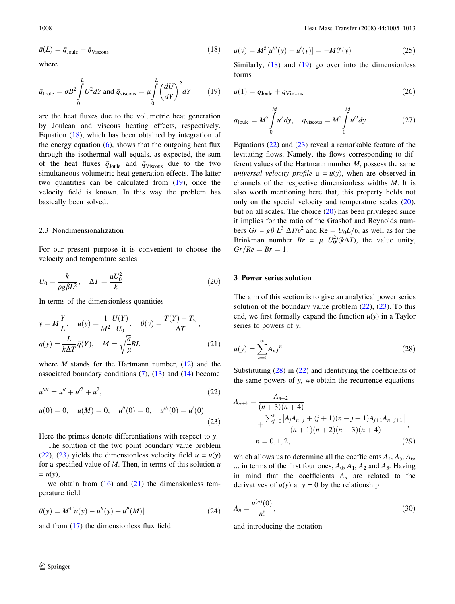<span id="page-4-0"></span>
$$
\bar{q}(L) = \bar{q}_{\text{Joule}} + \bar{q}_{\text{Viscous}} \tag{18}
$$

where

$$
\bar{q}_{\text{Joule}} = \sigma B^2 \int_0^L U^2 dY \text{ and } \bar{q}_{\text{viscous}} = \mu \int_0^L \left(\frac{dU}{dY}\right)^2 dY \qquad (19)
$$

are the heat fluxes due to the volumetric heat generation by Joulean and viscous heating effects, respectively. Equation (18), which has been obtained by integration of the energy equation  $(6)$ , shows that the outgoing heat flux through the isothermal wall equals, as expected, the sum of the heat fluxes  $\bar{q}_{\text{Joule}}$  and  $\bar{q}_{\text{Viscous}}$  due to the two simultaneous volumetric heat generation effects. The latter two quantities can be calculated from (19), once the velocity field is known. In this way the problem has basically been solved.

## 2.3 Nondimensionalization

For our present purpose it is convenient to choose the velocity and temperature scales

$$
U_0 = \frac{k}{\rho g \beta L^2}, \quad \Delta T = \frac{\mu U_0^2}{k} \tag{20}
$$

In terms of the dimensionless quantities

$$
y = M\frac{Y}{L}, \quad u(y) = \frac{1}{M^2}\frac{U(Y)}{U_0}, \quad \theta(y) = \frac{T(Y) - T_w}{\Delta T},
$$

$$
q(y) = \frac{L}{k\Delta T}\bar{q}(Y), \quad M = \sqrt{\frac{\sigma}{\mu}}BL
$$
(21)

where *M* stands for the Hartmann number,  $(12)$  and the associated boundary conditions  $(7)$ ,  $(13)$  and  $(14)$  become

$$
u'''' = u'' + u'^2 + u^2,
$$
\t(22)

$$
u(0) = 0, \quad u(M) = 0, \quad u''(0) = 0, \quad u'''(0) = u'(0)
$$
\n(23)

Here the primes denote differentiations with respect to y.

The solution of the two point boundary value problem (22), (23) yields the dimensionless velocity field  $u = u(y)$ for a specified value of  $M$ . Then, in terms of this solution  $u$  $= u(y),$ 

we obtain from  $(16)$  and  $(21)$  the dimensionless temperature field

$$
\theta(y) = M^4[u(y) - u''(y) + u''(M)] \tag{24}
$$

and from (17) the dimensionless flux field

$$
q(y) = M^{5}[u'''(y) - u'(y)] = -M\theta'(y)
$$
\n(25)

Similarly,  $(18)$  and  $(19)$  go over into the dimensionless forms

$$
q(1) = q_{\text{Joule}} + q_{\text{Viscous}} \tag{26}
$$

$$
q_{\text{Joule}} = M^5 \int_0^M u^2 dy, \quad q_{\text{viscous}} = M^5 \int_0^M u^2 dy \tag{27}
$$

Equations  $(22)$  and  $(23)$  reveal a remarkable feature of the levitating flows. Namely, the flows corresponding to different values of the Hartmann number  $M$ , possess the same universal velocity profile  $u = u(y)$ , when are observed in channels of the respective dimensionless widths M. It is also worth mentioning here that, this property holds not only on the special velocity and temperature scales (20), but on all scales. The choice (20) has been privileged since it implies for the ratio of the Grashof and Reynolds numbers  $Gr = g\beta L^3 \Delta T/v^2$  and  $Re = U_0L/v$ , as well as for the Brinkman number  $Br = \mu U_0^2 / (k \Delta T)$ , the value unity,  $Gr/Re = Br = 1.$ 

## 3 Power series solution

The aim of this section is to give an analytical power series solution of the boundary value problem  $(22)$ ,  $(23)$ . To this end, we first formally expand the function  $u(y)$  in a Taylor series to powers of  $v$ ,

$$
u(y) = \sum_{n=0}^{\infty} A_n y^n
$$
\n(28)

Substituting (28) in (22) and identifying the coefficients of the same powers of  $v$ , we obtain the recurrence equations

$$
A_{n+4} = \frac{A_{n+2}}{(n+3)(n+4)} + \frac{\sum_{j=0}^{n} [A_j A_{n-j} + (j+1)(n-j+1)A_{j+1}A_{n-j+1}]}{(n+1)(n+2)(n+3)(n+4)},
$$
  
\n
$$
n = 0, 1, 2, ...
$$
\n(29)

which allows us to determine all the coefficients  $A_4$ ,  $A_5$ ,  $A_6$ , ... in terms of the first four ones,  $A_0$ ,  $A_1$ ,  $A_2$  and  $A_3$ . Having in mind that the coefficients  $A_n$  are related to the derivatives of  $u(y)$  at  $y = 0$  by the relationship

$$
A_n = \frac{u^{(n)}(0)}{n!},
$$
\n(30)

and introducing the notation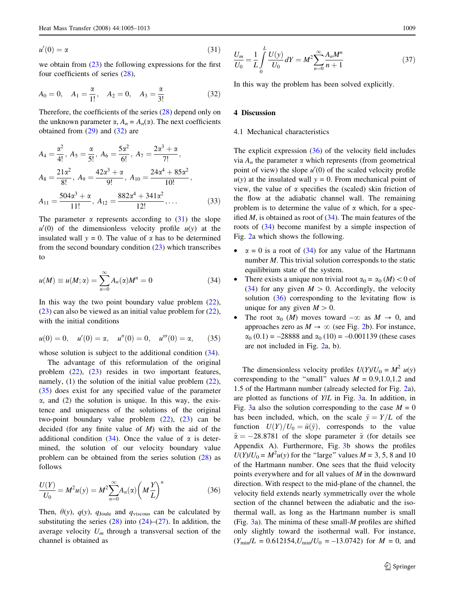$$
u'(0) = \alpha \tag{31}
$$

we obtain from (23) the following expressions for the first four coefficients of series (28),

$$
A_0 = 0
$$
,  $A_1 = \frac{\alpha}{1!}$ ,  $A_2 = 0$ ,  $A_3 = \frac{\alpha}{3!}$  (32)

Therefore, the coefficients of the series (28) depend only on the unknown parameter  $\alpha$ ,  $A_n = A_n(\alpha)$ . The next coefficients obtained from  $(29)$  and  $(32)$  are

$$
A_4 = \frac{\alpha^2}{4!}, A_5 = \frac{\alpha}{5!}, A_6 = \frac{5\alpha^2}{6!}, A_7 = \frac{2\alpha^3 + \alpha}{7!},
$$
  
\n
$$
A_8 = \frac{21\alpha^2}{8!}, A_9 = \frac{42\alpha^3 + \alpha}{9!}, A_{10} = \frac{24\alpha^4 + 85\alpha^2}{10!},
$$
  
\n
$$
A_{11} = \frac{504\alpha^3 + \alpha}{11!}, A_{12} = \frac{882\alpha^4 + 341\alpha^2}{12!}, \dots
$$
 (33)

The parameter  $\alpha$  represents according to (31) the slope  $u'(0)$  of the dimensionless velocity profile  $u(y)$  at the insulated wall  $y = 0$ . The value of  $\alpha$  has to be determined from the second boundary condition (23) which transcribes to

$$
u(M) \equiv u(M; \alpha) = \sum_{n=0}^{\infty} A_n(\alpha) M^n = 0 \tag{34}
$$

In this way the two point boundary value problem  $(22)$ ,  $(23)$  can also be viewed as an initial value problem for  $(22)$ , with the initial conditions

$$
u(0) = 0, \quad u'(0) = \alpha, \quad u''(0) = 0, \quad u'''(0) = \alpha, \tag{35}
$$

whose solution is subject to the additional condition  $(34)$ .

The advantage of this reformulation of the original problem (22), (23) resides in two important features, namely,  $(1)$  the solution of the initial value problem  $(22)$ , (35) does exist for any specified value of the parameter  $\alpha$ , and (2) the solution is unique. In this way, the existence and uniqueness of the solutions of the original two-point boundary value problem  $(22)$ ,  $(23)$  can be decided (for any finite value of  $M$ ) with the aid of the additional condition (34). Once the value of  $\alpha$  is determined, the solution of our velocity boundary value problem can be obtained from the series solution (28) as follows

$$
\frac{U(Y)}{U_0} = M^2 u(y) = M^2 \sum_{n=0}^{\infty} A_n(\alpha) \left( M \frac{Y}{L} \right)^n
$$
 (36)

Then,  $\theta(y)$ ,  $q(y)$ ,  $q_{\text{Joule}}$  and  $q_{\text{viscous}}$  can be calculated by substituting the series  $(28)$  into  $(24)$ – $(27)$ . In addition, the average velocity  $U_m$  through a transversal section of the channel is obtained as

$$
\frac{U_m}{U_0} = \frac{1}{L} \int_0^L \frac{U(y)}{U_0} dY = M^2 \sum_{n=0}^{\infty} \frac{A_n M^n}{n+1}
$$
(37)

In this way the problem has been solved explicitly.

#### 4 Discussion

#### 4.1 Mechanical characteristics

The explicit expression  $(36)$  of the velocity field includes via  $A_n$  the parameter  $\alpha$  which represents (from geometrical point of view) the slope  $u'(0)$  of the scaled velocity profile  $u(y)$  at the insulated wall  $y = 0$ . From mechanical point of view, the value of  $\alpha$  specifies the (scaled) skin friction of the flow at the adiabatic channel wall. The remaining problem is to determine the value of  $\alpha$  which, for a specified  $M$ , is obtained as root of  $(34)$ . The main features of the roots of (34) become manifest by a simple inspection of Fig. [2](#page-6-0)a which shows the following.

- $\alpha = 0$  is a root of (34) for any value of the Hartmann number *M*. This trivial solution corresponds to the static equilibrium state of the system.
- There exists a unique non trivial root  $\alpha_0 = \alpha_0$  (*M*) < 0 of (34) for any given  $M > 0$ . Accordingly, the velocity solution  $(36)$  corresponding to the levitating flow is unique for any given  $M > 0$ .
- The root  $\alpha_0$  (*M*) moves toward  $-\infty$  as  $M \to 0$ , and approaches zero as  $M \to \infty$  (see Fig. [2b](#page-6-0)). For instance,  $\alpha_0$  (0.1) = -28888 and  $\alpha_0$  (10) = -0.001139 (these cases are not included in Fig. [2](#page-6-0)a, b).

The dimensionless velocity profiles  $U(Y)/U_0 = M^2 u(y)$ corresponding to the "small" values  $M = 0.9, 1.0, 1.2$  and 1.5 of the Hartmann number (already selected for Fig. [2a](#page-6-0)), are plotted as functions of Y/L in Fig. [3a](#page-6-0). In addition, in Fig. [3](#page-6-0)a also the solution corresponding to the case  $M = 0$ has been included, which, on the scale  $\tilde{y} = Y/L$  of the function  $U(Y)/U_0 = \tilde{u}(\tilde{y})$ , corresponds to the value  $\tilde{\alpha} = -28.8781$  of the slope parameter  $\tilde{\alpha}$  (for details see Appendix A). Furthermore, Fig. [3b](#page-6-0) shows the profiles  $U(Y)/U_0 = M^2u(y)$  for the "large" values  $M = 3, 5, 8$  and 10 of the Hartmann number. One sees that the fluid velocity points everywhere and for all values of M in the downward direction. With respect to the mid-plane of the channel, the velocity field extends nearly symmetrically over the whole section of the channel between the adiabatic and the isothermal wall, as long as the Hartmann number is small (Fig.  $3a$ ). The minima of these small-*M* profiles are shifted only slightly toward the isothermal wall. For instance,  $(Y_{\text{min}}/L = 0.612154, U_{\text{min}}/U_0 = -13.0742)$  for  $M = 0$ , and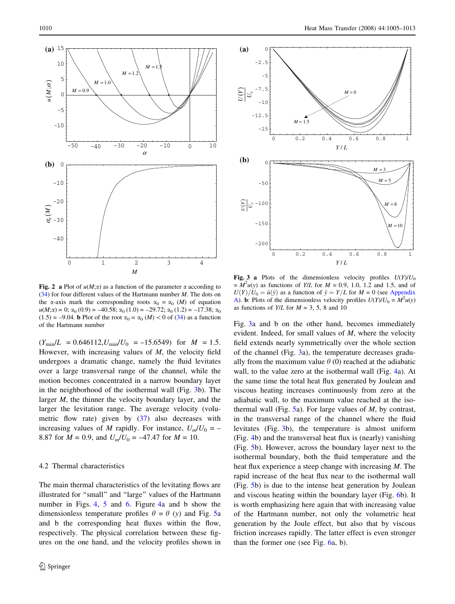<span id="page-6-0"></span>



Fig. 2 a Plot of  $u(M;\alpha)$  as a function of the parameter  $\alpha$  according to (34) for four different values of the Hartmann number  $M$ . The dots on the  $\alpha$ -axis mark the corresponding roots  $\alpha_0 = \alpha_0$  (*M*) of equation  $u(M; \alpha) = 0$ ;  $\alpha_0 (0.9) = -40.58$ ;  $\alpha_0 (1.0) = -29.72$ ;  $\alpha_0 (1.2) = -17.38$ ;  $\alpha_0$  $(1.5) = -9.04$ . **b** Plot of the root  $\alpha_0 = \alpha_0$  (*M*) < 0 of (34) as a function of the Hartmann number

 $(Y_{\text{min}}/L = 0.646112, U_{\text{min}}/U_0 = -15.6549)$  for  $M = 1.5$ . However, with increasing values of M, the velocity field undergoes a dramatic change, namely the fluid levitates over a large transversal range of the channel, while the motion becomes concentrated in a narrow boundary layer in the neighborhood of the isothermal wall (Fig. 3b). The larger *M*, the thinner the velocity boundary layer, and the larger the levitation range. The average velocity (volumetric flow rate) given by  $(37)$  also decreases with increasing values of M rapidly. For instance,  $U_m/U_0 = -$ 8.87 for  $M = 0.9$ , and  $U_m/U_0 = -47.47$  for  $M = 10$ .

# 4.2 Thermal characteristics

The main thermal characteristics of the levitating flows are illustrated for ''small'' and ''large'' values of the Hartmann number in Figs. [4,](#page-7-0) [5](#page-7-0) and [6.](#page-8-0) Figure [4a](#page-7-0) and b show the dimensionless temperature profiles  $\theta = \theta$  (y) and Fig. [5a](#page-7-0) and b the corresponding heat fluxes within the flow, respectively. The physical correlation between these figures on the one hand, and the velocity profiles shown in

Fig. 3 a Plots of the dimensionless velocity profiles  $U(Y)/U_0$  $=\overline{M}^2u(y)$  as functions of Y/L for  $M = 0.9, 1.0, 1.2$  and 1.5, and of  $U(Y)/U_0 = \tilde{u}(\tilde{y})$  as a function of  $\tilde{y} = Y/L$  for  $M = 0$  (see [Appendix](#page-8-0) [A](#page-8-0)). **b**: Plots of the dimensionless velocity profiles  $U(Y)/U_0 = M^2 u(y)$ as functions of  $Y/L$  for  $M = 3, 5, 8$  and 10

Fig. 3a and b on the other hand, becomes immediately evident. Indeed, for small values of  $M$ , where the velocity field extends nearly symmetrically over the whole section of the channel (Fig. 3a), the temperature decreases gradually from the maximum value  $\theta$  (0) reached at the adiabatic wall, to the value zero at the isothermal wall (Fig. [4a](#page-7-0)). At the same time the total heat flux generated by Joulean and viscous heating increases continuously from zero at the adiabatic wall, to the maximum value reached at the isothermal wall (Fig.  $5a$  $5a$ ). For large values of *M*, by contrast, in the transversal range of the channel where the fluid levitates (Fig. 3b), the temperature is almost uniform (Fig. [4b](#page-7-0)) and the transversal heat flux is (nearly) vanishing (Fig. [5b](#page-7-0)). However, across the boundary layer next to the isothermal boundary, both the fluid temperature and the heat flux experience a steep change with increasing M. The rapid increase of the heat flux near to the isothermal wall (Fig. [5b](#page-7-0)) is due to the intense heat generation by Joulean and viscous heating within the boundary layer (Fig. [6](#page-8-0)b). It is worth emphasizing here again that with increasing value of the Hartmann number, not only the volumetric heat generation by the Joule effect, but also that by viscous friction increases rapidly. The latter effect is even stronger than the former one (see Fig. [6](#page-8-0)a, b).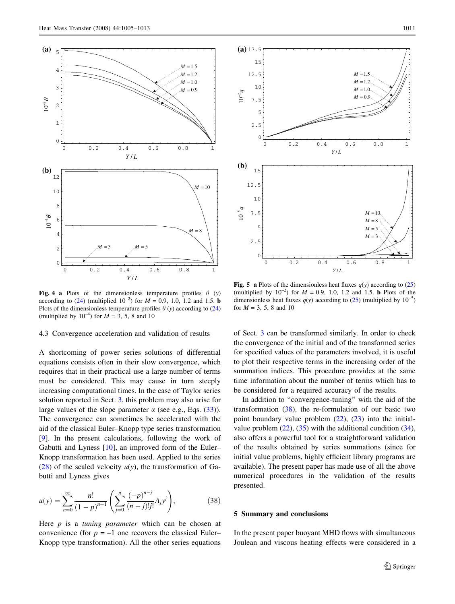<span id="page-7-0"></span>

Fig. 4 a Plots of the dimensionless temperature profiles  $\theta$  (y) according to (24) (multiplied  $10^{-2}$ ) for  $M = 0.9, 1.0, 1.2$  and 1.5. **b** Plots of the dimensionless temperature profiles  $\theta$  (y) according to (24) (multiplied by  $10^{-4}$ ) for  $M = 3, 5, 8$  and 10

#### 4.3 Convergence acceleration and validation of results

A shortcoming of power series solutions of differential equations consists often in their slow convergence, which requires that in their practical use a large number of terms must be considered. This may cause in turn steeply increasing computational times. In the case of Taylor series solution reported in Sect. [3](#page-4-0), this problem may also arise for large values of the slope parameter  $\alpha$  (see e.g., Eqs. (33)). The convergence can sometimes be accelerated with the aid of the classical Euler–Knopp type series transformation [\[9](#page-9-0)]. In the present calculations, following the work of Gabutti and Lyness [[10\]](#page-9-0), an improved form of the Euler– Knopp transformation has been used. Applied to the series (28) of the scaled velocity  $u(y)$ , the transformation of Gabutti and Lyness gives

$$
u(y) = \sum_{n=0}^{\infty} \frac{n!}{(1-p)^{n+1}} \left( \sum_{j=0}^{n} \frac{(-p)^{n-j}}{(n-j)!j!} A_j y^j \right),
$$
 (38)

Here  $p$  is a tuning parameter which can be chosen at convenience (for  $p = -1$  one recovers the classical Euler– Knopp type transformation). All the other series equations



Fig. 5 a Plots of the dimensionless heat fluxes  $q(y)$  according to (25) (multiplied by  $10^{-2}$ ) for  $M = 0.9$ , 1.0, 1.2 and 1.5. **b** Plots of the dimensionless heat fluxes  $q(y)$  according to (25) (multiplied by 10<sup>-5</sup>) for  $M = 3, 5, 8$  and 10

of Sect. [3](#page-4-0) can be transformed similarly. In order to check the convergence of the initial and of the transformed series for specified values of the parameters involved, it is useful to plot their respective terms in the increasing order of the summation indices. This procedure provides at the same time information about the number of terms which has to be considered for a required accuracy of the results.

In addition to ''convergence-tuning'' with the aid of the transformation (38), the re-formulation of our basic two point boundary value problem  $(22)$ ,  $(23)$  into the initialvalue problem  $(22)$ ,  $(35)$  with the additional condition  $(34)$ , also offers a powerful tool for a straightforward validation of the results obtained by series summations (since for initial value problems, highly efficient library programs are available). The present paper has made use of all the above numerical procedures in the validation of the results presented.

#### 5 Summary and conclusions

In the present paper buoyant MHD flows with simultaneous Joulean and viscous heating effects were considered in a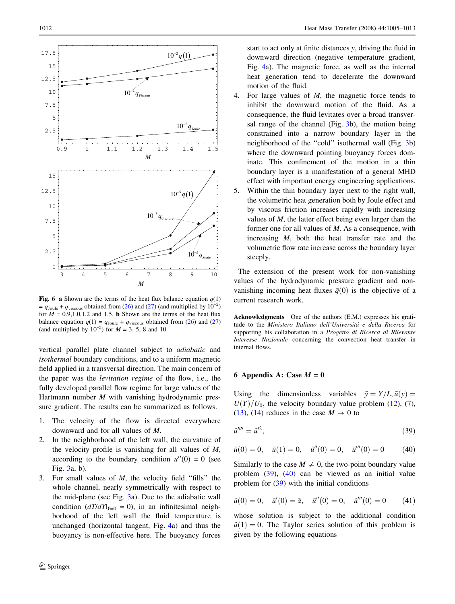<span id="page-8-0"></span>

Fig. 6 a Shown are the terms of the heat flux balance equation  $q(1)$ =  $q_{\text{Joule}} + q_{\text{viscous}}$  obtained from (26) and (27) (and multiplied by  $10^{-2}$ ) for  $M = 0.9, 1.0, 1.2$  and 1.5. **b** Shown are the terms of the heat flux balance equation  $q(1) = q_{\text{Joule}} + q_{\text{viscous}}$  obtained from (26) and (27) (and multiplied by  $10^{-5}$ ) for  $M = 3, 5, 8$  and 10

vertical parallel plate channel subject to adiabatic and isothermal boundary conditions, and to a uniform magnetic field applied in a transversal direction. The main concern of the paper was the levitation regime of the flow, i.e., the fully developed parallel flow regime for large values of the Hartmann number  $M$  with vanishing hydrodynamic pressure gradient. The results can be summarized as follows.

- 1. The velocity of the flow is directed everywhere downward and for all values of M.
- 2. In the neighborhood of the left wall, the curvature of the velocity profile is vanishing for all values of  $M$ , according to the boundary condition  $u''(0) = 0$  (see Fig. [3a](#page-6-0), b).
- 3. For small values of  $M$ , the velocity field "fills" the whole channel, nearly symmetrically with respect to the mid-plane (see Fig. [3a](#page-6-0)). Due to the adiabatic wall condition  $(dT/dY)_{Y=0} = 0$ , in an infinitesimal neighborhood of the left wall the fluid temperature is unchanged (horizontal tangent, Fig. [4a](#page-7-0)) and thus the buoyancy is non-effective here. The buoyancy forces

start to act only at finite distances y, driving the fluid in downward direction (negative temperature gradient, Fig. [4a](#page-7-0)). The magnetic force, as well as the internal heat generation tend to decelerate the downward motion of the fluid.

- 4. For large values of M, the magnetic force tends to inhibit the downward motion of the fluid. As a consequence, the fluid levitates over a broad transversal range of the channel (Fig. [3b](#page-6-0)), the motion being constrained into a narrow boundary layer in the neighborhood of the "cold" isothermal wall (Fig. [3b](#page-6-0)) where the downward pointing buoyancy forces dominate. This confinement of the motion in a thin boundary layer is a manifestation of a general MHD effect with important energy engineering applications.
- 5. Within the thin boundary layer next to the right wall, the volumetric heat generation both by Joule effect and by viscous friction increases rapidly with increasing values of M, the latter effect being even larger than the former one for all values of  $M$ . As a consequence, with increasing  $M$ , both the heat transfer rate and the volumetric flow rate increase across the boundary layer steeply.

The extension of the present work for non-vanishing values of the hydrodynamic pressure gradient and nonvanishing incoming heat fluxes  $\bar{q}(0)$  is the objective of a current research work.

Acknowledgments One of the authors (E.M.) expresses his gratitude to the Ministero Italiano dell'Universita` e della Ricerca for supporting his collaboration in a Progetto di Ricerca di Rilevante Interesse Nazionale concerning the convection heat transfer in internal flows.

# 6 Appendix A: Case  $M = 0$

Using the dimensionless variables  $\tilde{y} = Y/L$ ,  $\tilde{u}(y) =$  $U(Y)/U_0$ , the velocity boundary value problem (12), (7), (13), (14) reduces in the case  $M \to 0$  to

$$
\tilde{u}^{\prime\prime\prime\prime} = \tilde{u}^{\prime 2},\tag{39}
$$

$$
\tilde{u}(0) = 0, \quad \tilde{u}(1) = 0, \quad \tilde{u}''(0) = 0, \quad \tilde{u}'''(0) = 0
$$
\n(40)

Similarly to the case  $M \neq 0$ , the two-point boundary value problem (39), (40) can be viewed as an initial value problem for  $(39)$  with the initial conditions

$$
\tilde{u}(0) = 0, \quad \tilde{u}'(0) = \tilde{\alpha}, \quad \tilde{u}''(0) = 0, \quad \tilde{u}'''(0) = 0
$$
\n(41)

whose solution is subject to the additional condition  $\tilde{u}(1) = 0$ . The Taylor series solution of this problem is given by the following equations